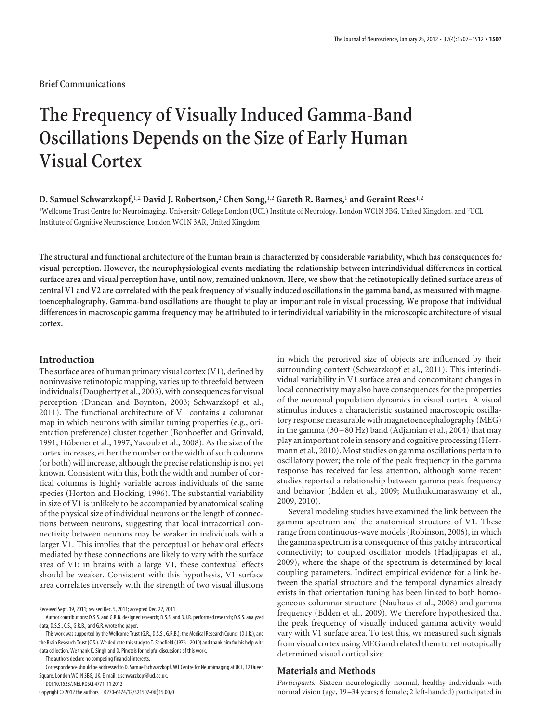**Brief Communications**

# **The Frequency of Visually Induced Gamma-Band Oscillations Depends on the Size of Early Human Visual Cortex**

# **D. Samuel Schwarzkopf,**1,2 **David J. Robertson,**<sup>2</sup> **Chen Song,**1,2 **Gareth R. Barnes,**<sup>1</sup> **and Geraint Rees**1,2

<sup>1</sup>Wellcome Trust Centre for Neuroimaging, University College London (UCL) Institute of Neurology, London WC1N 3BG, United Kingdom, and <sup>2</sup>UCL Institute of Cognitive Neuroscience, London WC1N 3AR, United Kingdom

**The structural and functional architecture of the human brain is characterized by considerable variability, which has consequences for visual perception. However, the neurophysiological events mediating the relationship between interindividual differences in cortical surface area and visual perception have, until now, remained unknown. Here, we show that the retinotopically defined surface areas of central V1 and V2 are correlated with the peak frequency of visually induced oscillations in the gamma band, as measured with magnetoencephalography. Gamma-band oscillations are thought to play an important role in visual processing. We propose that individual differences in macroscopic gamma frequency may be attributed to interindividual variability in the microscopic architecture of visual cortex.**

#### **Introduction**

The surface area of human primary visual cortex (V1), defined by noninvasive retinotopic mapping, varies up to threefold between individuals (Dougherty et al., 2003), with consequences for visual perception (Duncan and Boynton, 2003; Schwarzkopf et al., 2011). The functional architecture of V1 contains a columnar map in which neurons with similar tuning properties (e.g., orientation preference) cluster together (Bonhoeffer and Grinvald, 1991; Hübener et al., 1997; Yacoub et al., 2008). As the size of the cortex increases, either the number or the width of such columns (or both) will increase, although the precise relationship is not yet known. Consistent with this, both the width and number of cortical columns is highly variable across individuals of the same species (Horton and Hocking, 1996). The substantial variability in size of V1 is unlikely to be accompanied by anatomical scaling of the physical size of individual neurons or the length of connections between neurons, suggesting that local intracortical connectivity between neurons may be weaker in individuals with a larger V1. This implies that the perceptual or behavioral effects mediated by these connections are likely to vary with the surface area of V1: in brains with a large V1, these contextual effects should be weaker. Consistent with this hypothesis, V1 surface area correlates inversely with the strength of two visual illusions

This work was supported by the Wellcome Trust (G.R., D.S.S., G.R.B.), the Medical Research Council (D.J.R.), and the Brain Research Trust (C.S.). We dedicate this study to T. Schofield (1976 -2010) and thank him for his help with data collection. We thank K. Singh and D. Pinotsis for helpful discussions of this work.

The authors declare no competing financial interests.

Correspondence should be addressed to D. Samuel Schwarzkopf, WT Centre for Neuroimaging at UCL, 12 Queen Square, London WC1N 3BG, UK. E-mail: s.schwarzkopf@ucl.ac.uk.

DOI:10.1523/JNEUROSCI.4771-11.2012

Copyright © 2012 the authors 0270-6474/12/321507-06\$15.00/0

in which the perceived size of objects are influenced by their surrounding context (Schwarzkopf et al., 2011). This interindividual variability in V1 surface area and concomitant changes in local connectivity may also have consequences for the properties of the neuronal population dynamics in visual cortex. A visual stimulus induces a characteristic sustained macroscopic oscillatory response measurable with magnetoencephalography (MEG) in the gamma (30 –80 Hz) band (Adjamian et al., 2004) that may play an important role in sensory and cognitive processing (Herrmann et al., 2010). Most studies on gamma oscillations pertain to oscillatory power; the role of the peak frequency in the gamma response has received far less attention, although some recent studies reported a relationship between gamma peak frequency and behavior (Edden et al., 2009; Muthukumaraswamy et al., 2009, 2010).

Several modeling studies have examined the link between the gamma spectrum and the anatomical structure of V1. These range from continuous-wave models (Robinson, 2006), in which the gamma spectrum is a consequence of this patchy intracortical connectivity; to coupled oscillator models (Hadjipapas et al., 2009), where the shape of the spectrum is determined by local coupling parameters. Indirect empirical evidence for a link between the spatial structure and the temporal dynamics already exists in that orientation tuning has been linked to both homogeneous columnar structure (Nauhaus et al., 2008) and gamma frequency (Edden et al., 2009). We therefore hypothesized that the peak frequency of visually induced gamma activity would vary with V1 surface area. To test this, we measured such signals from visual cortex using MEG and related them to retinotopically determined visual cortical size.

#### **Materials and Methods**

*Participants.* Sixteen neurologically normal, healthy individuals with normal vision (age, 19 –34 years; 6 female; 2 left-handed) participated in

Received Sept. 19, 2011; revised Dec. 5, 2011; accepted Dec. 22, 2011.

Author contributions: D.S.S. and G.R.B. designed research; D.S.S. and D.J.R. performed research; D.S.S. analyzed data; D.S.S., C.S., G.R.B., and G.R. wrote the paper.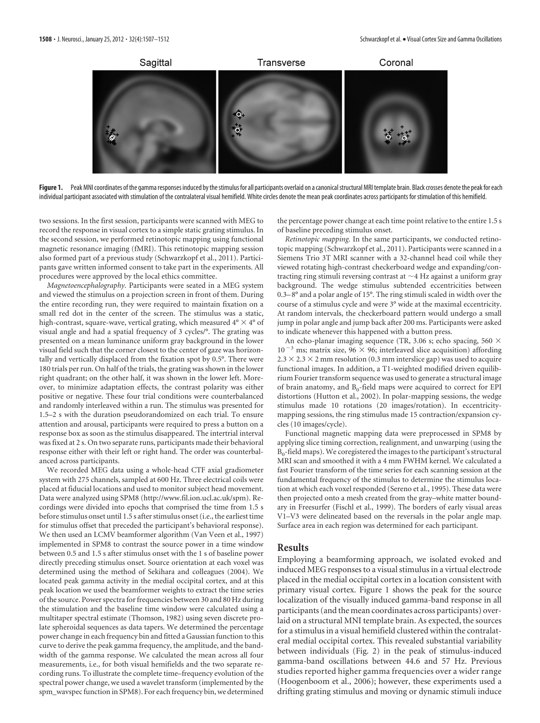

Figure 1. Peak MNI coordinates of the gamma responses induced by the stimulus for all participants overlaid on a canonical structural MRI template brain. Black crosses denote the peak for each individual participant associated with stimulation of the contralateral visual hemifield. White circles denote the mean peak coordinates across participants for stimulation of this hemifield.

two sessions. In the first session, participants were scanned with MEG to record the response in visual cortex to a simple static grating stimulus. In the second session, we performed retinotopic mapping using functional magnetic resonance imaging (fMRI). This retinotopic mapping session also formed part of a previous study (Schwarzkopf et al., 2011). Participants gave written informed consent to take part in the experiments. All procedures were approved by the local ethics committee.

*Magnetoencephalography.* Participants were seated in a MEG system and viewed the stimulus on a projection screen in front of them. During the entire recording run, they were required to maintain fixation on a small red dot in the center of the screen. The stimulus was a static, high-contrast, square-wave, vertical grating, which measured  $4^{\circ} \times 4^{\circ}$  of visual angle and had a spatial frequency of 3 cycles/°. The grating was presented on a mean luminance uniform gray background in the lower visual field such that the corner closest to the center of gaze was horizontally and vertically displaced from the fixation spot by 0.5°. There were 180 trials per run. On half of the trials, the grating was shown in the lower right quadrant; on the other half, it was shown in the lower left. Moreover, to minimize adaptation effects, the contrast polarity was either positive or negative. These four trial conditions were counterbalanced and randomly interleaved within a run. The stimulus was presented for 1.5–2 s with the duration pseudorandomized on each trial. To ensure attention and arousal, participants were required to press a button on a response box as soon as the stimulus disappeared. The intertrial interval was fixed at 2 s. On two separate runs, participants made their behavioral response either with their left or right hand. The order was counterbalanced across participants.

We recorded MEG data using a whole-head CTF axial gradiometer system with 275 channels, sampled at 600 Hz. Three electrical coils were placed at fiducial locations and used to monitor subject head movement. Data were analyzed using SPM8 (http://www.fil.ion.ucl.ac.uk/spm). Recordings were divided into epochs that comprised the time from 1.5 s before stimulus onset until 1.5 s after stimulus onset (i.e., the earliest time for stimulus offset that preceded the participant's behavioral response). We then used an LCMV beamformer algorithm (Van Veen et al., 1997) implemented in SPM8 to contrast the source power in a time window between 0.5 and 1.5 s after stimulus onset with the 1 s of baseline power directly preceding stimulus onset. Source orientation at each voxel was determined using the method of Sekihara and colleagues (2004). We located peak gamma activity in the medial occipital cortex, and at this peak location we used the beamformer weights to extract the time series of the source. Power spectra for frequencies between 30 and 80 Hz during the stimulation and the baseline time window were calculated using a multitaper spectral estimate (Thomson, 1982) using seven discrete prolate spheroidal sequences as data tapers. We determined the percentage power change in each frequency bin and fitted a Gaussian function to this curve to derive the peak gamma frequency, the amplitude, and the bandwidth of the gamma response. We calculated the mean across all four measurements, i.e., for both visual hemifields and the two separate recording runs. To illustrate the complete time–frequency evolution of the spectral power change, we used a wavelet transform (implemented by the spm\_wavspec function in SPM8). For each frequency bin, we determined

the percentage power change at each time point relative to the entire 1.5 s of baseline preceding stimulus onset.

*Retinotopic mapping.* In the same participants, we conducted retinotopic mapping (Schwarzkopf et al., 2011). Participants were scanned in a Siemens Trio 3T MRI scanner with a 32-channel head coil while they viewed rotating high-contrast checkerboard wedge and expanding/contracting ring stimuli reversing contrast at  ${\sim}$ 4 Hz against a uniform gray background. The wedge stimulus subtended eccentricities between 0.3– 8° and a polar angle of 15°. The ring stimuli scaled in width over the course of a stimulus cycle and were 3° wide at the maximal eccentricity. At random intervals, the checkerboard pattern would undergo a small jump in polar angle and jump back after 200 ms. Participants were asked to indicate whenever this happened with a button press.

An echo-planar imaging sequence (TR, 3.06 s; echo spacing, 560  $\times$  $10^{-3}$  ms; matrix size, 96  $\times$  96; interleaved slice acquisition) affording  $2.3 \times 2.3 \times 2$  mm resolution (0.3 mm interslice gap) was used to acquire functional images. In addition, a T1-weighted modified driven equilibrium Fourier transform sequence was used to generate a structural image of brain anatomy, and  $B_0$ -field maps were acquired to correct for EPI distortions (Hutton et al., 2002). In polar-mapping sessions, the wedge stimulus made 10 rotations (20 images/rotation). In eccentricitymapping sessions, the ring stimulus made 15 contraction/expansion cycles (10 images/cycle).

Functional magnetic mapping data were preprocessed in SPM8 by applying slice timing correction, realignment, and unwarping (using the  $B<sub>0</sub>$ -field maps). We coregistered the images to the participant's structural MRI scan and smoothed it with a 4 mm FWHM kernel. We calculated a fast Fourier transform of the time series for each scanning session at the fundamental frequency of the stimulus to determine the stimulus location at which each voxel responded (Sereno et al., 1995). These data were then projected onto a mesh created from the gray–white matter boundary in Freesurfer (Fischl et al., 1999). The borders of early visual areas V1–V3 were delineated based on the reversals in the polar angle map. Surface area in each region was determined for each participant.

## **Results**

Employing a beamforming approach, we isolated evoked and induced MEG responses to a visual stimulus in a virtual electrode placed in the medial occipital cortex in a location consistent with primary visual cortex. Figure 1 shows the peak for the source localization of the visually induced gamma-band response in all participants (and the mean coordinates across participants) overlaid on a structural MNI template brain. As expected, the sources for a stimulus in a visual hemifield clustered within the contralateral medial occipital cortex. This revealed substantial variability between individuals (Fig. 2) in the peak of stimulus-induced gamma-band oscillations between 44.6 and 57 Hz. Previous studies reported higher gamma frequencies over a wider range (Hoogenboom et al., 2006); however, these experiments used a drifting grating stimulus and moving or dynamic stimuli induce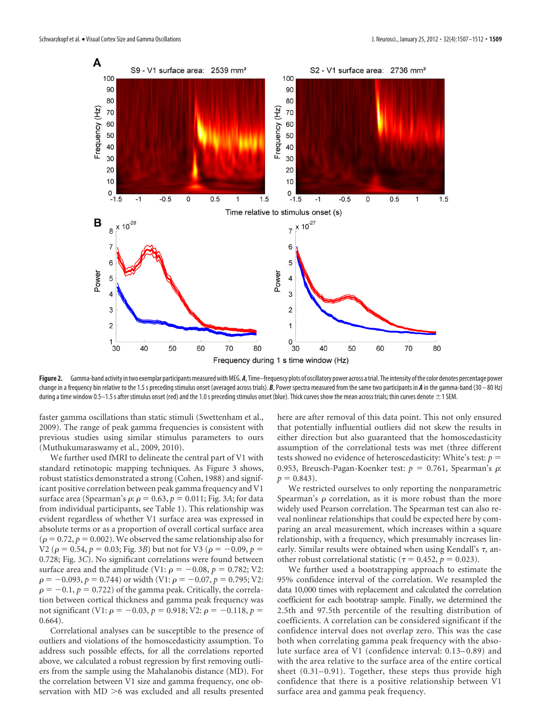

Figure 2. Gamma-band activity in two exemplar participants measured with MEG. A, Time–frequency plots of oscillatory power across a trial. The intensity of the color denotes percentage power change in a frequency bin relative to the 1.5 s preceding stimulus onset (averaged across trials). *B*, Power spectra measured from the same two participants in *A* in the gamma-band (30 – 80 Hz) during a time window 0.5-1.5 s after stimulus onset (red) and the 1.0 s preceding stimulus onset (blue). Thick curves show the mean across trials; thin curves denote  $\pm$  1 SEM.

faster gamma oscillations than static stimuli (Swettenham et al., 2009). The range of peak gamma frequencies is consistent with previous studies using similar stimulus parameters to ours (Muthukumaraswamy et al., 2009, 2010).

We further used fMRI to delineate the central part of V1 with standard retinotopic mapping techniques. As Figure 3 shows, robust statistics demonstrated a strong (Cohen, 1988) and significant positive correlation between peak gamma frequency and V1 surface area (Spearman's  $\rho$ :  $\rho = 0.63$ ,  $p = 0.011$ ; Fig. 3A; for data from individual participants, see Table 1). This relationship was evident regardless of whether V1 surface area was expressed in absolute terms or as a proportion of overall cortical surface area  $(\rho = 0.72, p = 0.002)$ . We observed the same relationship also for  $V2$  ( $\rho = 0.54$ ,  $p = 0.03$ ; Fig. 3*B*) but not for V3 ( $\rho = -0.09$ ,  $p =$ 0.728; Fig. 3*C*). No significant correlations were found between surface area and the amplitude (V1:  $\rho = -0.08$ ,  $p = 0.782$ ; V2:  $\rho = -0.093$ ,  $p = 0.744$ ) or width (V1:  $\rho = -0.07$ ,  $p = 0.795$ ; V2:  $\rho = -0.1$ ,  $p = 0.722$ ) of the gamma peak. Critically, the correlation between cortical thickness and gamma peak frequency was not significant (V1:  $\rho = -0.03$ ,  $p = 0.918$ ; V2:  $\rho = -0.118$ ,  $p =$ 0.664).

Correlational analyses can be susceptible to the presence of outliers and violations of the homoscedasticity assumption. To address such possible effects, for all the correlations reported above, we calculated a robust regression by first removing outliers from the sample using the Mahalanobis distance (MD). For the correlation between V1 size and gamma frequency, one observation with  $MD > 6$  was excluded and all results presented

here are after removal of this data point. This not only ensured that potentially influential outliers did not skew the results in either direction but also guaranteed that the homoscedasticity assumption of the correlational tests was met (three different tests showed no evidence of heteroscedasticity: White's test: *p* 0.953, Breusch-Pagan-Koenker test:  $p = 0.761$ , Spearman's  $\rho$ :  $p = 0.843$ .

We restricted ourselves to only reporting the nonparametric Spearman's  $\rho$  correlation, as it is more robust than the more widely used Pearson correlation. The Spearman test can also reveal nonlinear relationships that could be expected here by comparing an areal measurement, which increases within a square relationship, with a frequency, which presumably increases linearly. Similar results were obtained when using Kendall's  $\tau$ , another robust correlational statistic ( $\tau$  = 0.452,  $p$  = 0.023).

We further used a bootstrapping approach to estimate the 95% confidence interval of the correlation. We resampled the data 10,000 times with replacement and calculated the correlation coefficient for each bootstrap sample. Finally, we determined the 2.5th and 97.5th percentile of the resulting distribution of coefficients. A correlation can be considered significant if the confidence interval does not overlap zero. This was the case both when correlating gamma peak frequency with the absolute surface area of V1 (confidence interval: 0.13–0.89) and with the area relative to the surface area of the entire cortical sheet (0.31–0.91). Together, these steps thus provide high confidence that there is a positive relationship between V1 surface area and gamma peak frequency.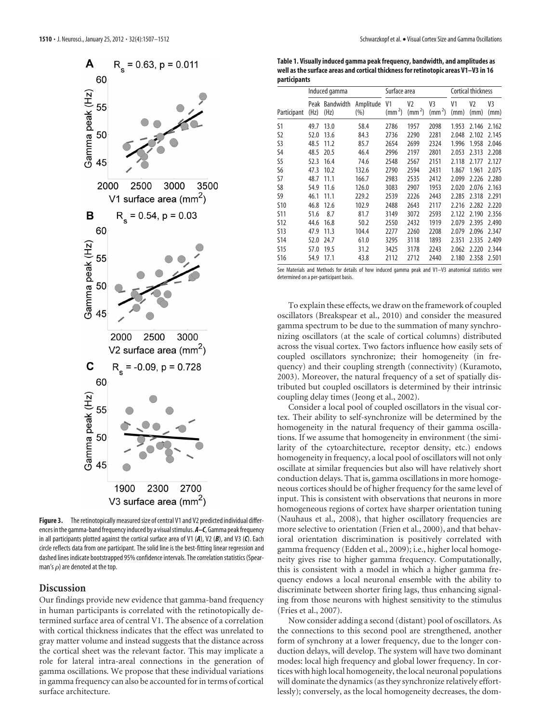

Figure 3. The retinotopically measured size of central V1 and V2 predicted individual differences in the gamma-band frequency induced by a visual stimulus.  $A-C$ , Gamma peak frequency in all participants plotted against the cortical surface area of V1 (*A*), V2 (*B*), and V3 (*C*). Each circle reflects data from one participant. The solid line is the best-fitting linear regression and dashed lines indicate bootstrapped 95% confidence intervals. The correlation statistics (Spearman's  $\rho$ ) are denoted at the top.

## **Discussion**

Our findings provide new evidence that gamma-band frequency in human participants is correlated with the retinotopically determined surface area of central V1. The absence of a correlation with cortical thickness indicates that the effect was unrelated to gray matter volume and instead suggests that the distance across the cortical sheet was the relevant factor. This may implicate a role for lateral intra-areal connections in the generation of gamma oscillations. We propose that these individual variations in gamma frequency can also be accounted for in terms of cortical surface architecture.

**Table 1. Visually induced gamma peak frequency, bandwidth, and amplitudes as well as the surface areas and cortical thickness for retinotopic areas V1–V3 in 16 participants**

|             | Induced gamma |                   |                      | Surface area       |                                |                                  | <b>Cortical thickness</b> |            |            |
|-------------|---------------|-------------------|----------------------|--------------------|--------------------------------|----------------------------------|---------------------------|------------|------------|
| Participant | Peak<br>(Hz)  | Bandwidth<br>(Hz) | Amplitude<br>$(\% )$ | V1<br>$\text{m}^2$ | V <sub>2</sub><br>$\rm (mm^2)$ | V3<br>$\left(\text{mm}^2\right)$ | V1<br>(mm)                | V2<br>(mm) | V3<br>(mm) |
| S1          | 49.7          | 13.0              | 58.4                 | 2786               | 1957                           | 2098                             | 1.953                     | 2.146      | 2.162      |
| S2          | 52.0          | 13.6              | 84.3                 | 2736               | 2290                           | 2281                             | 2.048                     | 2.102      | 2.145      |
| S3          | 48.5          | 11.2              | 85.7                 | 2654               | 2699                           | 2324                             | 1.996                     | 1.958      | 2.046      |
| S4          | 48.5          | 20.5              | 46.4                 | 2996               | 2197                           | 2801                             | 2.053                     | 2.313      | 2.208      |
| S5          | 52.3          | 16.4              | 74.6                 | 2548               | 2567                           | 2151                             | 2.118                     | 2.177      | 2.127      |
| S6          | 47.3          | 10.2              | 132.6                | 2790               | 2594                           | 2431                             | 1.867                     | 1.961      | 2.075      |
| S7          | 48.7          | 11.1              | 166.7                | 2983               | 2535                           | 2412                             | 2.099                     | 2.226      | 2.280      |
| S8          | 54.9          | 11.6              | 126.0                | 3083               | 2907                           | 1953                             | 2.020                     | 2.076      | 2.163      |
| S9          | 46.1          | 11.1              | 229.2                | 2539               | 2226                           | 2443                             | 2.285                     | 2.318      | 2.291      |
| <b>S10</b>  | 46.8          | 12.6              | 102.9                | 2488               | 2643                           | 2117                             | 2.216                     | 2.282      | 2.220      |
| <b>S11</b>  | 51.6          | 8.7               | 81.7                 | 3149               | 3072                           | 2593                             | 2.122                     | 2.190      | 2.356      |
| <b>S12</b>  | 44.6          | 16.8              | 50.2                 | 2550               | 2432                           | 1919                             | 2.079                     | 2.395      | 2.490      |
| <b>S13</b>  | 47.9          | 11.3              | 104.4                | 2277               | 2260                           | 2208                             | 2.079                     | 2.096      | 2.347      |
| <b>S14</b>  | 52.0          | 24.7              | 61.0                 | 3295               | 3118                           | 1893                             | 2.351                     | 2.335      | 2.409      |
| <b>S15</b>  | 57.0          | 19.5              | 31.2                 | 3425               | 3178                           | 2243                             | 2.062                     | 2.220      | 2.344      |
| S16         | 54.9          | 17.1              | 43.8                 | 2112               | 2712                           | 2440                             | 2.180                     | 2.358      | 2.501      |

See Materials and Methods for details of how induced gamma peak and V1–V3 anatomical statistics were determined on a per-participant basis.

To explain these effects, we draw on the framework of coupled oscillators (Breakspear et al., 2010) and consider the measured gamma spectrum to be due to the summation of many synchronizing oscillators (at the scale of cortical columns) distributed across the visual cortex. Two factors influence how easily sets of coupled oscillators synchronize; their homogeneity (in frequency) and their coupling strength (connectivity) (Kuramoto, 2003). Moreover, the natural frequency of a set of spatially distributed but coupled oscillators is determined by their intrinsic coupling delay times (Jeong et al., 2002).

Consider a local pool of coupled oscillators in the visual cortex. Their ability to self-synchronize will be determined by the homogeneity in the natural frequency of their gamma oscillations. If we assume that homogeneity in environment (the similarity of the cytoarchitecture, receptor density, etc.) endows homogeneity in frequency, a local pool of oscillators will not only oscillate at similar frequencies but also will have relatively short conduction delays. That is, gamma oscillations in more homogeneous cortices should be of higher frequency for the same level of input. This is consistent with observations that neurons in more homogeneous regions of cortex have sharper orientation tuning (Nauhaus et al., 2008), that higher oscillatory frequencies are more selective to orientation (Frien et al., 2000), and that behavioral orientation discrimination is positively correlated with gamma frequency (Edden et al., 2009); i.e., higher local homogeneity gives rise to higher gamma frequency. Computationally, this is consistent with a model in which a higher gamma frequency endows a local neuronal ensemble with the ability to discriminate between shorter firing lags, thus enhancing signaling from those neurons with highest sensitivity to the stimulus (Fries et al., 2007).

Now consider adding a second (distant) pool of oscillators. As the connections to this second pool are strengthened, another form of synchrony at a lower frequency, due to the longer conduction delays, will develop. The system will have two dominant modes: local high frequency and global lower frequency. In cortices with high local homogeneity, the local neuronal populations will dominate the dynamics (as they synchronize relatively effortlessly); conversely, as the local homogeneity decreases, the dom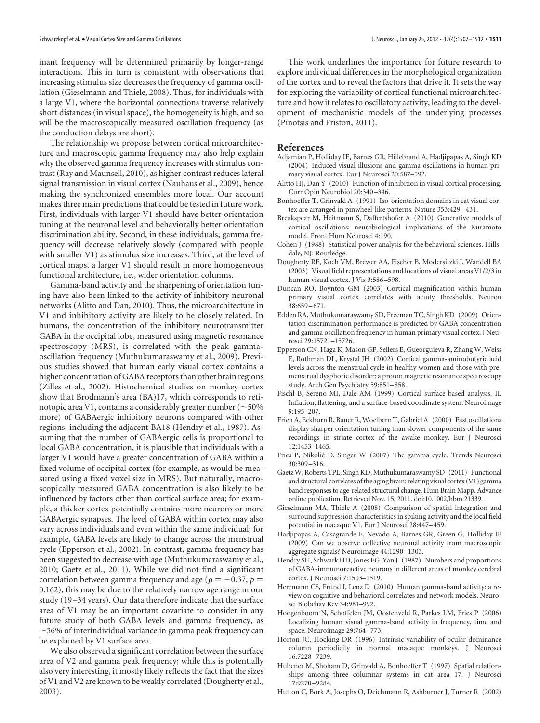inant frequency will be determined primarily by longer-range interactions. This in turn is consistent with observations that increasing stimulus size decreases the frequency of gamma oscillation (Gieselmann and Thiele, 2008). Thus, for individuals with a large V1, where the horizontal connections traverse relatively short distances (in visual space), the homogeneity is high, and so will be the macroscopically measured oscillation frequency (as the conduction delays are short).

The relationship we propose between cortical microarchitecture and macroscopic gamma frequency may also help explain why the observed gamma frequency increases with stimulus contrast (Ray and Maunsell, 2010), as higher contrast reduces lateral signal transmission in visual cortex (Nauhaus et al., 2009), hence making the synchronized ensembles more local. Our account makes three main predictions that could be tested in future work. First, individuals with larger V1 should have better orientation tuning at the neuronal level and behaviorally better orientation discrimination ability. Second, in these individuals, gamma frequency will decrease relatively slowly (compared with people with smaller V1) as stimulus size increases. Third, at the level of cortical maps, a larger V1 should result in more homogeneous functional architecture, i.e., wider orientation columns.

Gamma-band activity and the sharpening of orientation tuning have also been linked to the activity of inhibitory neuronal networks (Alitto and Dan, 2010). Thus, the microarchitecture in V1 and inhibitory activity are likely to be closely related. In humans, the concentration of the inhibitory neurotransmitter GABA in the occipital lobe, measured using magnetic resonance spectroscopy (MRS), is correlated with the peak gammaoscillation frequency (Muthukumaraswamy et al., 2009). Previous studies showed that human early visual cortex contains a higher concentration of GABA receptors than other brain regions (Zilles et al., 2002). Histochemical studies on monkey cortex show that Brodmann's area (BA)17, which corresponds to retinotopic area V1, contains a considerably greater number (  $\sim$  50% more) of GABAergic inhibitory neurons compared with other regions, including the adjacent BA18 (Hendry et al., 1987). Assuming that the number of GABAergic cells is proportional to local GABA concentration, it is plausible that individuals with a larger V1 would have a greater concentration of GABA within a fixed volume of occipital cortex (for example, as would be measured using a fixed voxel size in MRS). But naturally, macroscopically measured GABA concentration is also likely to be influenced by factors other than cortical surface area; for example, a thicker cortex potentially contains more neurons or more GABAergic synapses. The level of GABA within cortex may also vary across individuals and even within the same individual; for example, GABA levels are likely to change across the menstrual cycle (Epperson et al., 2002). In contrast, gamma frequency has been suggested to decrease with age (Muthukumaraswamy et al., 2010; Gaetz et al., 2011). While we did not find a significant correlation between gamma frequency and age ( $\rho = -0.37$ ,  $p =$ 0.162), this may be due to the relatively narrow age range in our study (19 –34 years). Our data therefore indicate that the surface area of V1 may be an important covariate to consider in any future study of both GABA levels and gamma frequency, as  $\sim$ 36% of interindividual variance in gamma peak frequency can be explained by V1 surface area.

We also observed a significant correlation between the surface area of V2 and gamma peak frequency; while this is potentially also very interesting, it mostly likely reflects the fact that the sizes of V1 and V2 are known to be weakly correlated (Dougherty et al., 2003).

This work underlines the importance for future research to explore individual differences in the morphological organization of the cortex and to reveal the factors that drive it. It sets the way for exploring the variability of cortical functional microarchitecture and how it relates to oscillatory activity, leading to the development of mechanistic models of the underlying processes (Pinotsis and Friston, 2011).

## **References**

- Adjamian P, Holliday IE, Barnes GR, Hillebrand A, Hadjipapas A, Singh KD (2004) Induced visual illusions and gamma oscillations in human primary visual cortex. Eur J Neurosci 20:587–592.
- Alitto HJ, Dan Y (2010) Function of inhibition in visual cortical processing. Curr Opin Neurobiol 20:340 –346.
- Bonhoeffer T, Grinvald A (1991) Iso-orientation domains in cat visual cortex are arranged in pinwheel-like patterns. Nature 353:429 –431.
- Breakspear M, Heitmann S, Daffertshofer A (2010) Generative models of cortical oscillations: neurobiological implications of the Kuramoto model. Front Hum Neurosci 4:190.
- Cohen J (1988) Statistical power analysis for the behavioral sciences. Hillsdale, NJ: Routledge.
- Dougherty RF, Koch VM, Brewer AA, Fischer B, Modersitzki J, Wandell BA (2003) Visual field representations and locations of visual areas V1/2/3 in human visual cortex. J Vis 3:586 –598.
- Duncan RO, Boynton GM (2003) Cortical magnification within human primary visual cortex correlates with acuity thresholds. Neuron 38:659 –671.
- Edden RA, Muthukumaraswamy SD, Freeman TC, Singh KD (2009) Orientation discrimination performance is predicted by GABA concentration and gamma oscillation frequency in human primary visual cortex. J Neurosci 29:15721–15726.
- Epperson CN, Haga K, Mason GF, Sellers E, Gueorguieva R, Zhang W, Weiss E, Rothman DL, Krystal JH (2002) Cortical gamma-aminobutyric acid levels across the menstrual cycle in healthy women and those with premenstrual dysphoric disorder: a proton magnetic resonance spectroscopy study. Arch Gen Psychiatry 59:851–858.
- Fischl B, Sereno MI, Dale AM (1999) Cortical surface-based analysis. II. Inflation, flattening, and a surface-based coordinate system. Neuroimage 9:195–207.
- Frien A, Eckhorn R, Bauer R, Woelbern T, Gabriel A (2000) Fast oscillations display sharper orientation tuning than slower components of the same recordings in striate cortex of the awake monkey. Eur J Neurosci 12:1453–1465.
- Fries P, Nikolić D, Singer W (2007) The gamma cycle. Trends Neurosci 30:309 –316.
- Gaetz W, Roberts TPL, Singh KD, Muthukumaraswamy SD (2011) Functional and structural correlates of the aging brain: relating visual cortex (V1) gamma band responses to age-related structural change. Hum Brain Mapp. Advance online publication. Retrieved Nov. 15, 2011. doi:10.1002/hbm.21339.
- Gieselmann MA, Thiele A (2008) Comparison of spatial integration and surround suppression characteristics in spiking activity and the local field potential in macaque V1. Eur J Neurosci 28:447–459.
- Hadjipapas A, Casagrande E, Nevado A, Barnes GR, Green G, Holliday IE (2009) Can we observe collective neuronal activity from macroscopic aggregate signals? Neuroimage 44:1290 –1303.
- Hendry SH, Schwark HD, Jones EG, Yan J (1987) Numbers and proportions of GABA-immunoreactive neurons in different areas of monkey cerebral cortex. J Neurosci 7:1503–1519.
- Herrmann CS, Fründ I, Lenz D (2010) Human gamma-band activity: a review on cognitive and behavioral correlates and network models. Neurosci Biobehav Rev 34:981–992.
- Hoogenboom N, Schoffelen JM, Oostenveld R, Parkes LM, Fries P (2006) Localizing human visual gamma-band activity in frequency, time and space. Neuroimage 29:764-773.
- Horton JC, Hocking DR (1996) Intrinsic variability of ocular dominance column periodicity in normal macaque monkeys. J Neurosci 16:7228 –7239.
- Hübener M, Shoham D, Grinvald A, Bonhoeffer T (1997) Spatial relationships among three columnar systems in cat area 17. J Neurosci 17:9270 –9284.
- Hutton C, Bork A, Josephs O, Deichmann R, Ashburner J, Turner R (2002)